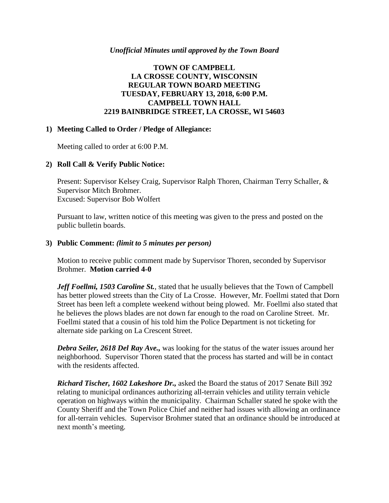#### *Unofficial Minutes until approved by the Town Board*

# **TOWN OF CAMPBELL LA CROSSE COUNTY, WISCONSIN REGULAR TOWN BOARD MEETING TUESDAY, FEBRUARY 13, 2018, 6:00 P.M. CAMPBELL TOWN HALL 2219 BAINBRIDGE STREET, LA CROSSE, WI 54603**

## **1) Meeting Called to Order / Pledge of Allegiance:**

Meeting called to order at 6:00 P.M.

## **2) Roll Call & Verify Public Notice:**

Present: Supervisor Kelsey Craig, Supervisor Ralph Thoren, Chairman Terry Schaller, & Supervisor Mitch Brohmer. Excused: Supervisor Bob Wolfert

Pursuant to law, written notice of this meeting was given to the press and posted on the public bulletin boards.

## **3) Public Comment:** *(limit to 5 minutes per person)*

Motion to receive public comment made by Supervisor Thoren, seconded by Supervisor Brohmer. **Motion carried 4-0**

*Jeff Foellmi, 1503 Caroline St.*, stated that he usually believes that the Town of Campbell has better plowed streets than the City of La Crosse. However, Mr. Foellmi stated that Dorn Street has been left a complete weekend without being plowed. Mr. Foellmi also stated that he believes the plows blades are not down far enough to the road on Caroline Street. Mr. Foellmi stated that a cousin of his told him the Police Department is not ticketing for alternate side parking on La Crescent Street.

*Debra Seiler, 2618 Del Ray Ave.,* was looking for the status of the water issues around her neighborhood. Supervisor Thoren stated that the process has started and will be in contact with the residents affected.

*Richard Tischer, 1602 Lakeshore Dr.,* asked the Board the status of 2017 Senate Bill 392 relating to municipal ordinances authorizing all-terrain vehicles and utility terrain vehicle operation on highways within the municipality. Chairman Schaller stated he spoke with the County Sheriff and the Town Police Chief and neither had issues with allowing an ordinance for all-terrain vehicles. Supervisor Brohmer stated that an ordinance should be introduced at next month's meeting.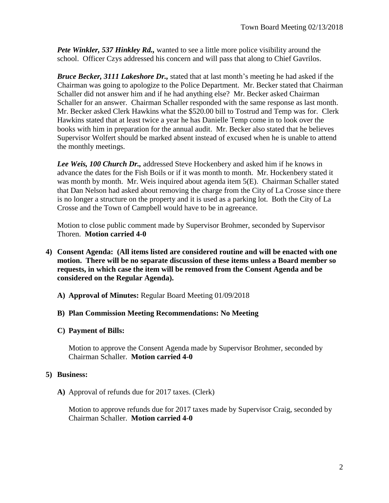*Pete Winkler, 537 Hinkley Rd.,* wanted to see a little more police visibility around the school. Officer Czys addressed his concern and will pass that along to Chief Gavrilos.

*Bruce Becker, 3111 Lakeshore Dr.,* stated that at last month's meeting he had asked if the Chairman was going to apologize to the Police Department. Mr. Becker stated that Chairman Schaller did not answer him and if he had anything else? Mr. Becker asked Chairman Schaller for an answer. Chairman Schaller responded with the same response as last month. Mr. Becker asked Clerk Hawkins what the \$520.00 bill to Tostrud and Temp was for. Clerk Hawkins stated that at least twice a year he has Danielle Temp come in to look over the books with him in preparation for the annual audit. Mr. Becker also stated that he believes Supervisor Wolfert should be marked absent instead of excused when he is unable to attend the monthly meetings.

*Lee Weis, 100 Church Dr.,* addressed Steve Hockenbery and asked him if he knows in advance the dates for the Fish Boils or if it was month to month. Mr. Hockenbery stated it was month by month. Mr. Weis inquired about agenda item 5(E). Chairman Schaller stated that Dan Nelson had asked about removing the charge from the City of La Crosse since there is no longer a structure on the property and it is used as a parking lot. Both the City of La Crosse and the Town of Campbell would have to be in agreeance.

Motion to close public comment made by Supervisor Brohmer, seconded by Supervisor Thoren. **Motion carried 4-0**

- **4) Consent Agenda: (All items listed are considered routine and will be enacted with one motion. There will be no separate discussion of these items unless a Board member so requests, in which case the item will be removed from the Consent Agenda and be considered on the Regular Agenda).**
	- **A) Approval of Minutes:** Regular Board Meeting 01/09/2018
	- **B) Plan Commission Meeting Recommendations: No Meeting**
	- **C) Payment of Bills:**

Motion to approve the Consent Agenda made by Supervisor Brohmer, seconded by Chairman Schaller. **Motion carried 4-0**

# **5) Business:**

**A)** Approval of refunds due for 2017 taxes. (Clerk)

Motion to approve refunds due for 2017 taxes made by Supervisor Craig, seconded by Chairman Schaller. **Motion carried 4-0**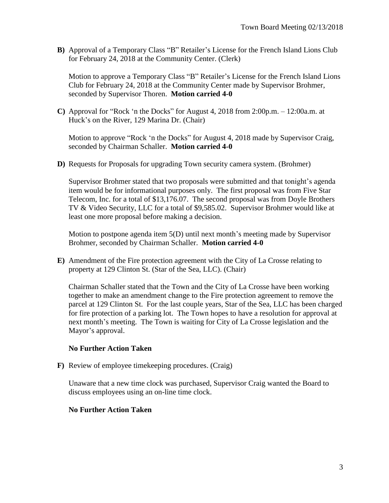**B)** Approval of a Temporary Class "B" Retailer's License for the French Island Lions Club for February 24, 2018 at the Community Center. (Clerk)

Motion to approve a Temporary Class "B" Retailer's License for the French Island Lions Club for February 24, 2018 at the Community Center made by Supervisor Brohmer, seconded by Supervisor Thoren. **Motion carried 4-0**

**C)** Approval for "Rock 'n the Docks" for August 4, 2018 from 2:00p.m. – 12:00a.m. at Huck's on the River, 129 Marina Dr. (Chair)

Motion to approve "Rock 'n the Docks" for August 4, 2018 made by Supervisor Craig, seconded by Chairman Schaller. **Motion carried 4-0**

**D)** Requests for Proposals for upgrading Town security camera system. (Brohmer)

Supervisor Brohmer stated that two proposals were submitted and that tonight's agenda item would be for informational purposes only. The first proposal was from Five Star Telecom, Inc. for a total of \$13,176.07. The second proposal was from Doyle Brothers TV & Video Security, LLC for a total of \$9,585.02. Supervisor Brohmer would like at least one more proposal before making a decision.

Motion to postpone agenda item 5(D) until next month's meeting made by Supervisor Brohmer, seconded by Chairman Schaller. **Motion carried 4-0**

**E)** Amendment of the Fire protection agreement with the City of La Crosse relating to property at 129 Clinton St. (Star of the Sea, LLC). (Chair)

Chairman Schaller stated that the Town and the City of La Crosse have been working together to make an amendment change to the Fire protection agreement to remove the parcel at 129 Clinton St. For the last couple years, Star of the Sea, LLC has been charged for fire protection of a parking lot. The Town hopes to have a resolution for approval at next month's meeting. The Town is waiting for City of La Crosse legislation and the Mayor's approval.

# **No Further Action Taken**

**F)** Review of employee timekeeping procedures. (Craig)

Unaware that a new time clock was purchased, Supervisor Craig wanted the Board to discuss employees using an on-line time clock.

#### **No Further Action Taken**